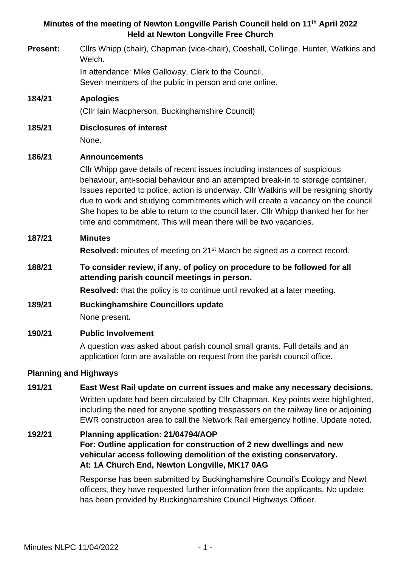# **Minutes of the meeting of Newton Longville Parish Council held on 11th April 2022 Held at Newton Longville Free Church**

**Present:** Cllrs Whipp (chair), Chapman (vice-chair), Coeshall, Collinge, Hunter, Watkins and Welch.

> In attendance: Mike Galloway, Clerk to the Council, Seven members of the public in person and one online.

# **184/21 Apologies**

(Cllr Iain Macpherson, Buckinghamshire Council)

**185/21 Disclosures of interest** None.

# **186/21 Announcements**

Cllr Whipp gave details of recent issues including instances of suspicious behaviour, anti-social behaviour and an attempted break-in to storage container. Issues reported to police, action is underway. Cllr Watkins will be resigning shortly due to work and studying commitments which will create a vacancy on the council. She hopes to be able to return to the council later. Cllr Whipp thanked her for her time and commitment. This will mean there will be two vacancies.

# **187/21 Minutes**

**Resolved:** minutes of meeting on 21<sup>st</sup> March be signed as a correct record.

**188/21 To consider review, if any, of policy on procedure to be followed for all attending parish council meetings in person.**

**Resolved:** that the policy is to continue until revoked at a later meeting.

# **189/21 Buckinghamshire Councillors update**

None present.

# **190/21 Public Involvement**

A question was asked about parish council small grants. Full details and an application form are available on request from the parish council office.

# **Planning and Highways**

# **191/21 East West Rail update on current issues and make any necessary decisions.** Written update had been circulated by Cllr Chapman. Key points were highlighted, including the need for anyone spotting trespassers on the railway line or adjoining EWR construction area to call the Network Rail emergency hotline. Update noted.

## **192/21 Planning application: 21/04794/AOP For: Outline application for construction of 2 new dwellings and new vehicular access following demolition of the existing conservatory. At: 1A Church End, Newton Longville, MK17 0AG**

Response has been submitted by Buckinghamshire Council's Ecology and Newt officers, they have requested further information from the applicants. No update has been provided by Buckinghamshire Council Highways Officer.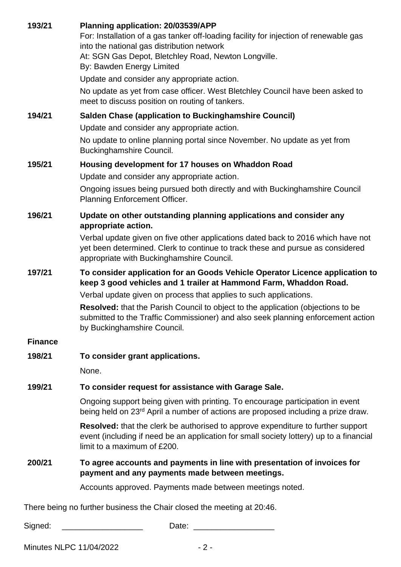**193/21 Planning application: 20/03539/APP**

For: Installation of a gas tanker off-loading facility for injection of renewable gas into the national gas distribution network

At: SGN Gas Depot, Bletchley Road, Newton Longville.

By: Bawden Energy Limited

Update and consider any appropriate action.

No update as yet from case officer. West Bletchley Council have been asked to meet to discuss position on routing of tankers.

### **194/21 Salden Chase (application to Buckinghamshire Council)**

Update and consider any appropriate action.

No update to online planning portal since November. No update as yet from Buckinghamshire Council.

### **195/21 Housing development for 17 houses on Whaddon Road**

Update and consider any appropriate action.

Ongoing issues being pursued both directly and with Buckinghamshire Council Planning Enforcement Officer.

#### **196/21 Update on other outstanding planning applications and consider any appropriate action.**

Verbal update given on five other applications dated back to 2016 which have not yet been determined. Clerk to continue to track these and pursue as considered appropriate with Buckinghamshire Council.

## **197/21 To consider application for an Goods Vehicle Operator Licence application to keep 3 good vehicles and 1 trailer at Hammond Farm, Whaddon Road.**

Verbal update given on process that applies to such applications.

**Resolved:** that the Parish Council to object to the application (objections to be submitted to the Traffic Commissioner) and also seek planning enforcement action by Buckinghamshire Council.

#### **Finance**

**198/21 To consider grant applications.** 

None.

# **199/21 To consider request for assistance with Garage Sale.**

Ongoing support being given with printing. To encourage participation in event being held on 23<sup>rd</sup> April a number of actions are proposed including a prize draw.

**Resolved:** that the clerk be authorised to approve expenditure to further support event (including if need be an application for small society lottery) up to a financial limit to a maximum of £200.

### **200/21 To agree accounts and payments in line with presentation of invoices for payment and any payments made between meetings.**

Accounts approved. Payments made between meetings noted.

There being no further business the Chair closed the meeting at 20:46.

Signed: \_\_\_\_\_\_\_\_\_\_\_\_\_\_\_\_\_\_\_\_\_\_\_\_\_\_\_\_\_\_\_\_\_\_\_Date:

Minutes NLPC 11/04/2022 - 2 -